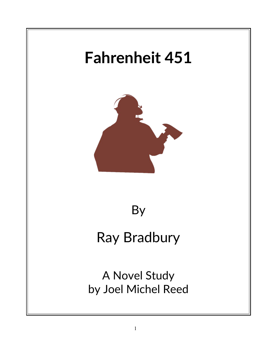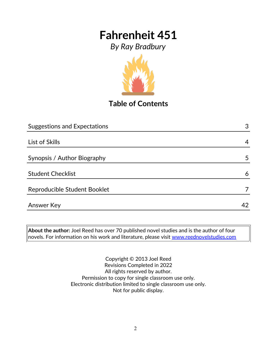*By Ray Bradbury*



**Table of Contents**

| <b>Suggestions and Expectations</b> | 3  |
|-------------------------------------|----|
|                                     |    |
| List of Skills                      | 4  |
| Synopsis / Author Biography         | 5  |
| <b>Student Checklist</b>            | 6  |
| Reproducible Student Booklet        |    |
| <b>Answer Key</b>                   | 42 |

**About the author:** Joel Reed has over 70 published novel studies and is the author of four  $|$ novels. For information on his work and literature, please visit  $\overline{\text{www.reednovelstudies.com}}$ 

> Copyright © 2013 Joel Reed Revisions Completed in 2022 All rights reserved by author. Permission to copy for single classroom use only. Electronic distribution limited to single classroom use only. Not for public display.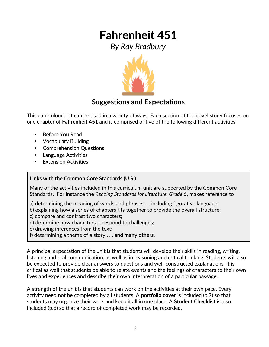*By Ray Bradbury*



### **Suggestions and Expectations**

This curriculum unit can be used in a variety of ways. Each section of the novel study focuses on one chapter of **Fahrenheit 451** and is comprised of five of the following different activities:

- Before You Read
- Vocabulary Building
- Comprehension Questions
- Language Activities
- Extension Activities

### **Links with the Common Core Standards (U.S.)**

Many of the activities included in this curriculum unit are supported by the Common Core Standards. For instance the *Reading Standards for Literature, Grade 5*, makes reference to

- a) determining the meaning of words and phrases. . . including figurative language;
- b) explaining how a series of chapters fits together to provide the overall structure;
- c) compare and contrast two characters;
- d) determine how characters … respond to challenges;
- e) drawing inferences from the text;
- f) determining a theme of a story . . . **and many others.**

A principal expectation of the unit is that students will develop their skills in reading, writing, listening and oral communication, as well as in reasoning and critical thinking. Students will also be expected to provide clear answers to questions and well-constructed explanations. It is critical as well that students be able to relate events and the feelings of characters to their own lives and experiences and describe their own interpretation of a particular passage.

A strength of the unit is that students can work on the activities at their own pace. Every activity need not be completed by all students. A **portfolio cover** is included (p.7) so that students may organize their work and keep it all in one place. A **Student Checklist** is also included (p.6) so that a record of completed work may be recorded.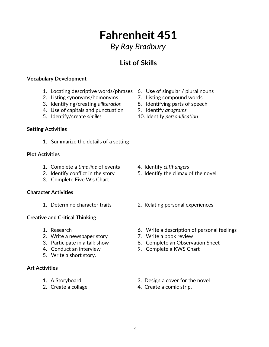## *By Ray Bradbury*

## **List of Skills**

### **Vocabulary Development**

- 1. Locating descriptive words/phrases 6. Use of singular / plural nouns
- 2. Listing synonyms/homonyms 7. Listing compound words
- 3. Identifying/creating *alliteration* 8. Identifying parts of speech
- 4. Use of capitals and punctuation 9. Identify *anagrams*
- 

#### **Setting Activities**

1. Summarize the details of a setting

#### **Plot Activities**

- 1. Complete a *time line* of events 4. Identify *cliffhangers*
- 
- 3. Complete Five W's Chart

### **Character Activities**

### **Creative and Critical Thinking**

- 
- 2. Write a newspaper story **7.** Write a book review
- 
- 
- 5. Write a short story.

#### **Art Activities**

- 
- 
- 
- 
- 
- 
- 5. Identify/create *similes* 10. Identify *personification*

- 
- 2. Identify conflict in the story 5. Identify the climax of the novel.
- 1. Determine character traits 2. Relating personal experiences
- 1. Research 6. Write a description of personal feelings
	-
- 3. Participate in a talk show 8. Complete an Observation Sheet
- 4. Conduct an interview 9. Complete a KWS Chart
- 1. A Storyboard 3. Design a cover for the novel
- 2. Create a collage 4. Create a comic strip.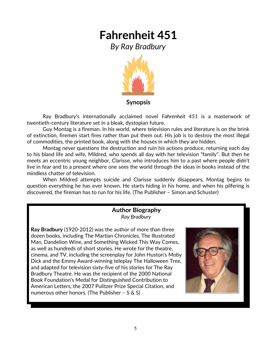*By Ray Bradbury*



Ray Bradbury's internationally acclaimed novel *Fahrenheit 451* is a masterwork of twentieth-century literature set in a bleak, dystopian future.

Guy Montag is a fireman. In his world, where television rules and literature is on the brink of extinction, firemen start fires rather than put them out. His job is to destroy the most illegal of commodities, the printed book, along with the houses in which they are hidden.

Montag never questions the destruction and ruin his actions produce, returning each day to his bland life and wife, Mildred, who spends all day with her television "family". But then he meets an eccentric young neighbor, Clarisse, who introduces him to a past where people didn't live in fear and to a present where one sees the world through the ideas in books instead of the mindless chatter of television.

When Mildred attempts suicide and Clarisse suddenly disappears, Montag begins to question everything he has ever known. He starts hiding in his home, and when his pilfering is discovered, the fireman has to run for his life. (The Publisher – Simon and Schuster)

### **Author Biography** *Ray Bradbury*

**Ray Bradbury** (1920-2012) was the author of more than three dozen books, including The Martian Chronicles, The Illustrated Man, Dandelion Wine, and Something Wicked This Way Comes, as well as hundreds of short stories. He wrote for the theatre, cinema, and TV, including the screenplay for John Huston's Moby Dick and the Emmy Award-winning teleplay The Halloween Tree, and adapted for television sixty-five of his stories for The Ray Bradbury Theatre. He was the recipient of the 2000 National Book Foundation's Medal for Distinguished Contribution to American Letters, the 2007 Pulitzer Prize Special Citation, and numerous other honors. (The Publisher – S & S)

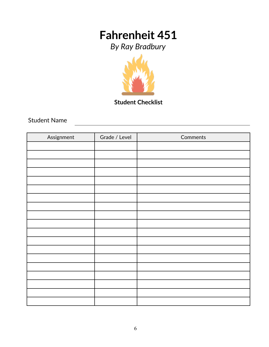*By Ray Bradbury*



**Student Checklist**

Student Name

| Assignment | Grade / Level | Comments |
|------------|---------------|----------|
|            |               |          |
|            |               |          |
|            |               |          |
|            |               |          |
|            |               |          |
|            |               |          |
|            |               |          |
|            |               |          |
|            |               |          |
|            |               |          |
|            |               |          |
|            |               |          |
|            |               |          |
|            |               |          |
|            |               |          |
|            |               |          |
|            |               |          |
|            |               |          |
|            |               |          |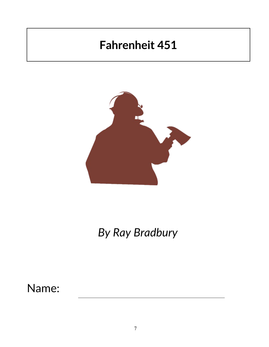

# *By Ray Bradbury*

## Name: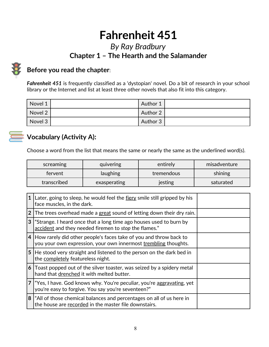### *By Ray Bradbury* **Chapter 1 – The Hearth and the Salamander**



### **Before you read the chapter**:

*Fahrenheit 451* is frequently classified as a 'dystopian' novel. Do a bit of research in your school library or the Internet and list at least three other novels that also fit into this category.

| Novel 1 | Author 1 |  |
|---------|----------|--|
| Novel 2 | Author 2 |  |
| Novel 3 | Author 3 |  |



## **Vocabulary (Activity A):**

Choose a word from the list that means the same or nearly the same as the underlined word(s).

| screaming   | quivering    | entirely   | misadventure |
|-------------|--------------|------------|--------------|
| fervent     | laughing     | tremendous | shining      |
| transcribed | exasperating | jesting    | saturated    |

| $\mathbf{1}$   | Later, going to sleep, he would feel the fiery smile still gripped by his<br>face muscles, in the dark.                                |  |
|----------------|----------------------------------------------------------------------------------------------------------------------------------------|--|
| $\overline{2}$ | The trees overhead made a great sound of letting down their dry rain.                                                                  |  |
|                | 3   "Strange. I heard once that a long time ago houses used to burn by<br>accident and they needed firemen to stop the flames."        |  |
|                | 4 How rarely did other people's faces take of you and throw back to<br>you your own expression, your own innermost trembling thoughts. |  |
|                | 5 He stood very straight and listened to the person on the dark bed in<br>the completely featureless night.                            |  |
|                | 6 Toast popped out of the silver toaster, was seized by a spidery metal<br>hand that drenched it with melted butter.                   |  |
|                | "Yes, I have. God knows why. You're peculiar, you're <u>aggravating,</u> yet<br>you're easy to forgive. You say you're seventeen?"     |  |
|                | 8   "All of those chemical balances and percentages on all of us here in<br>the house are recorded in the master file downstairs.      |  |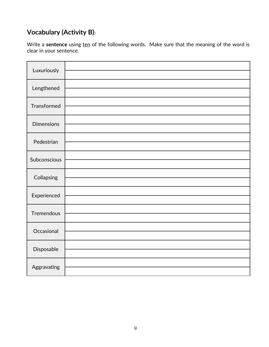### **Vocabulary (Activity B):**

Write a sentence using ten of the following words. Make sure that the meaning of the word is clear in your sentence.

| Luxuriously       |  |
|-------------------|--|
| Lengthened        |  |
| Transformed       |  |
| <b>Dimensions</b> |  |
| Pedestrian        |  |
| Subconscious      |  |
| Collapsing        |  |
| Experienced       |  |
| Tremendous        |  |
| Occasional        |  |
| Disposable        |  |
| Aggravating       |  |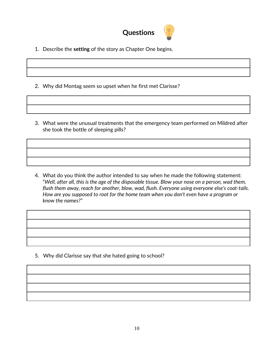

- 1. Describe the **setting** of the story as Chapter One begins.
- 2. Why did Montag seem so upset when he first met Clarisse?
- 3. What were the unusual treatments that the emergency team performed on Mildred after she took the bottle of sleeping pills?

4. What do you think the author intended to say when he made the following statement: "*Well, after all, this is the age of the disposable tissue. Blow your nose on a person, wad them, flush them away, reach for another, blow, wad, flush. Everyone using everyone else's coat-tails. How are you supposed to root for the home team when you don't even have a program or know the names?"*

5. Why did Clarisse say that she hated going to school?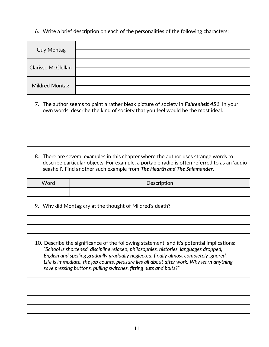6. Write a brief description on each of the personalities of the following characters:

| <b>Guy Montag</b>         |  |
|---------------------------|--|
| <b>Clarisse McClellan</b> |  |
| <b>Mildred Montag</b>     |  |

7. The author seems to paint a rather bleak picture of society in *Fahrenheit 451*. In your own words, describe the kind of society that you feel would be the most ideal.

8. There are several examples in this chapter where the author uses strange words to describe particular objects. For example, a portable radio is often referred to as an 'audio seashell'. Find another such example from *The Hearth and The Salamander*.

| Word | Description |
|------|-------------|
|      |             |

9. Why did Montag cry at the thought of Mildred's death?

10. Describe the significance of the following statement, and it's potential implications:  *"School is shortened, discipline relaxed, philosophies, histories, languages dropped, English and spelling gradually gradually neglected, finally almost completely ignored. Life is immediate, the job counts, pleasure lies all about after work. Why learn anything save pressing buttons, pulling switches, fitting nuts and bolts?"*

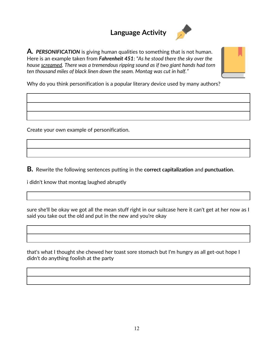### **Language Activity**



**A.** *PERSONIFICATION* is giving human qualities to something that is not human. Here is an example taken from *Fahrenheit 451*: *"As he stood there the sky over the house screamed. There was a tremendous ripping sound as if two giant hands had torn ten thousand miles of black linen down the seam. Montag was cut in half."*



Why do you think personification is a popular literary device used by many authors?

Create your own example of personification.

**B.** Rewrite the following sentences putting in the **correct capitalization** and **punctuation**.

i didn't know that montag laughed abruptly

sure she'll be okay we got all the mean stuff right in our suitcase here it can't get at her now as I said you take out the old and put in the new and you're okay

that's what I thought she chewed her toast sore stomach but I'm hungry as all get-out hope I didn't do anything foolish at the party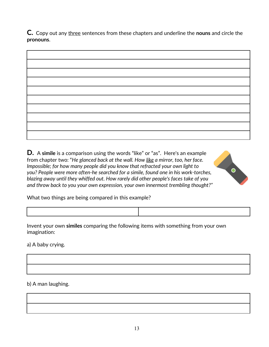**C.** Copy out any three sentences from these chapters and underline the **nouns** and circle the **pronouns**.

**D.** A **simile** is a comparison using the words "like" or "as". Here's an example from chapter two: "*He glanced back at the wall. How like a mirror, too, her face. Impossible; for how many people did you know that refracted your own light to you? People were more often-he searched for a simile, found one in his work-torches, blazing away until they whiffed out. How rarely did other people's faces take of you and throw back to you your own expression, your own innermost trembling thought?"*



What two things are being compared in this example?

Invent your own **similes** comparing the following items with something from your own imagination:

a) A baby crying.

b) A man laughing.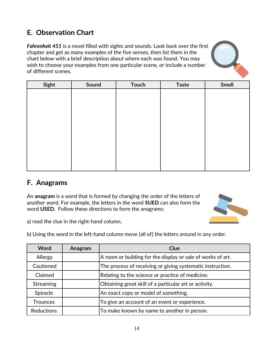## **E. Observation Chart**

*Fahrenheit 451* is a novel filled with sights and sounds. Look back over the first chapter and get as many examples of the five senses, then list them in the chart below with a brief description about where each was found. You may wish to choose your examples from one particular scene, or include a number of different scenes.



| Sight | Sound | <b>Touch</b> | <b>Taste</b> | <b>Smell</b> |
|-------|-------|--------------|--------------|--------------|
|       |       |              |              |              |
|       |       |              |              |              |
|       |       |              |              |              |
|       |       |              |              |              |
|       |       |              |              |              |
|       |       |              |              |              |
|       |       |              |              |              |
|       |       |              |              |              |
|       |       |              |              |              |
|       |       |              |              |              |
|       |       |              |              |              |

### **F. Anagrams**

An **anagram** is a word that is formed by changing the order of the letters of another word. For example, the letters in the word **SUED** can also form the word **USED.** Follow these directions to form the anagrams:



a) read the clue in the right-hand column.

b) Using the word in the left-hand column move [all of] the letters around in any order.

| <b>Word</b>       | Anagram | Clue                                                        |
|-------------------|---------|-------------------------------------------------------------|
| Allergy           |         | A room or building for the display or sale of works of art. |
| Cautioned         |         | The process of receiving or giving systematic instruction.  |
| Claimed           |         | Relating to the science or practice of medicine.            |
| <b>Streaming</b>  |         | Obtaining great skill of a particular art or activity.      |
| Spiracle          |         | An exact copy or model of something.                        |
| <b>Trounces</b>   |         | To give an account of an event or experience.               |
| <b>Reductions</b> |         | To make known by name to another in person.                 |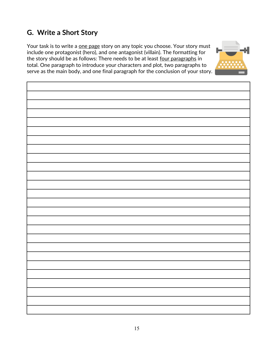## **G. Write a Short Story**

Your task is to write a one page story on any topic you choose. Your story must include one protagonist (hero), and one antagonist (villain). The formatting for the story should be as follows: There needs to be at least four paragraphs in total. One paragraph to introduce your characters and plot, two paragraphs to serve as the main body, and one final paragraph for the conclusion of your story.

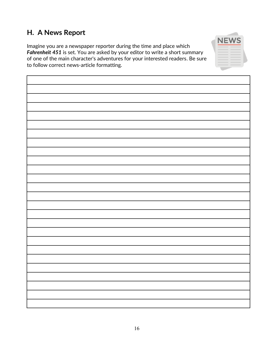### **H. A News Report**

Imagine you are a newspaper reporter during the time and place which *Fahrenheit 451* is set. You are asked by your editor to write a short summary of one of the main character's adventures for your interested readers. Be sure to follow correct news-article formatting.

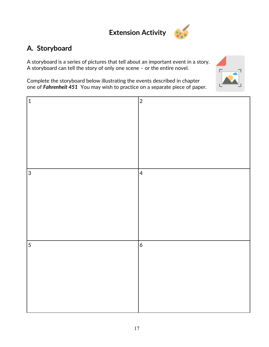## **Extension Activity**



### **A. Storyboard**

A storyboard is a series of pictures that tell about an important event in a story. A storyboard can tell the story of only one scene – or the entire novel.

Complete the storyboard below illustrating the events described in chapter one of *Fahrenheit 451* You may wish to practice on a separate piece of paper.